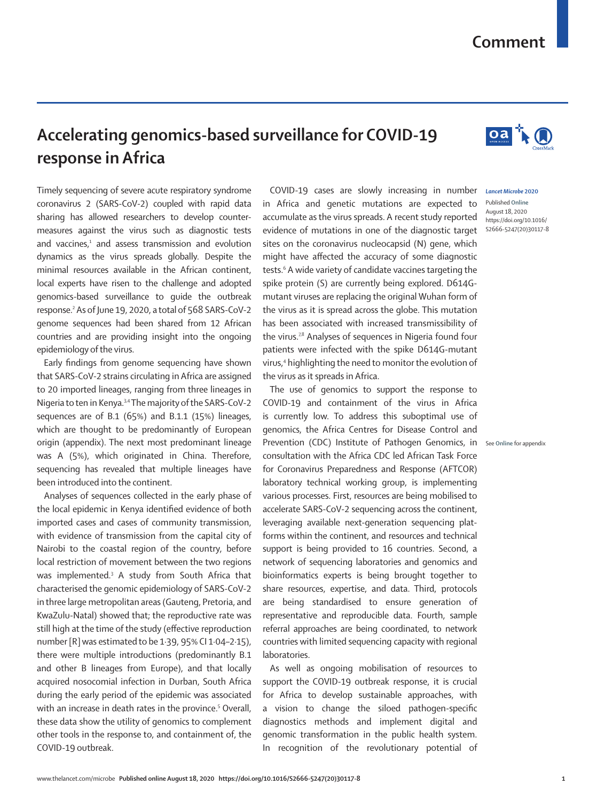## **Comment**

## **Accelerating genomics-based surveillance for COVID-19 response in Africa**

Timely sequencing of severe acute respiratory syndrome coronavirus 2 (SARS-CoV-2) coupled with rapid data sharing has allowed researchers to develop countermeasures against the virus such as diagnostic tests and vaccines,<sup>1</sup> and assess transmission and evolution dynamics as the virus spreads globally. Despite the minimal resources available in the African continent, local experts have risen to the challenge and adopted genomics-based surveillance to guide the outbreak response.2 As of June 19, 2020, a total of 568 SARS-CoV-2 genome sequences had been shared from 12 African countries and are providing insight into the ongoing epidemiology of the virus.

Early findings from genome sequencing have shown that SARS-CoV-2 strains circulating in Africa are assigned to 20 imported lineages, ranging from three lineages in Nigeria to ten in Kenya.3,4 The majority of the SARS-CoV-2 sequences are of B.1 (65%) and B.1.1 (15%) lineages, which are thought to be predominantly of European origin (appendix). The next most predominant lineage was A (5%), which originated in China. Therefore, sequencing has revealed that multiple lineages have been introduced into the continent.

Analyses of sequences collected in the early phase of the local epidemic in Kenya identified evidence of both imported cases and cases of community transmission, with evidence of transmission from the capital city of Nairobi to the coastal region of the country, before local restriction of movement between the two regions was implemented.<sup>3</sup> A study from South Africa that characterised the genomic epidemiology of SARS-CoV-2 in three large metropolitan areas (Gauteng, Pretoria, and KwaZulu-Natal) showed that; the reproductive rate was still high at the time of the study (effective reproduction number [R] was estimated to be 1·39, 95% CI 1·04–2·15), there were multiple introductions (predominantly B.1 and other B lineages from Europe), and that locally acquired nosocomial infection in Durban, South Africa during the early period of the epidemic was associated with an increase in death rates in the province.<sup>5</sup> Overall, these data show the utility of genomics to complement other tools in the response to, and containment of, the COVID-19 outbreak.

COVID-19 cases are slowly increasing in number *Lancet Microbe* **2020** in Africa and genetic mutations are expected to accumulate as the virus spreads. A recent study reported evidence of mutations in one of the diagnostic target sites on the coronavirus nucleocapsid (N) gene, which might have affected the accuracy of some diagnostic tests.6 A wide variety of candidate vaccines targeting the spike protein (S) are currently being explored. D614Gmutant viruses are replacing the original Wuhan form of the virus as it is spread across the globe. This mutation has been associated with increased transmissibility of the virus.<sup>7,8</sup> Analyses of sequences in Nigeria found four patients were infected with the spike D614G-mutant virus,<sup>4</sup> highlighting the need to monitor the evolution of the virus as it spreads in Africa.

The use of genomics to support the response to COVID-19 and containment of the virus in Africa is currently low. To address this suboptimal use of genomics, the Africa Centres for Disease Control and Prevention (CDC) Institute of Pathogen Genomics, in See Online for appendix consultation with the Africa CDC led African Task Force for Coronavirus Preparedness and Response (AFTCOR) laboratory technical working group, is implementing various processes. First, resources are being mobilised to accelerate SARS-CoV-2 sequencing across the continent, leveraging available next-generation sequencing platforms within the continent, and resources and technical support is being provided to 16 countries. Second, a network of sequencing laboratories and genomics and bioinformatics experts is being brought together to share resources, expertise, and data. Third, protocols are being standardised to ensure generation of representative and reproducible data. Fourth, sample referral approaches are being coordinated, to network countries with limited sequencing capacity with regional laboratories.

As well as ongoing mobilisation of resources to support the COVID-19 outbreak response, it is crucial for Africa to develop sustainable approaches, with a vision to change the siloed pathogen-specific diagnostics methods and implement digital and genomic transformation in the public health system. In recognition of the revolutionary potential of

Published **Online** August 18, 2020 https://doi.org/10.1016/ S2666-5247(20)30117-8